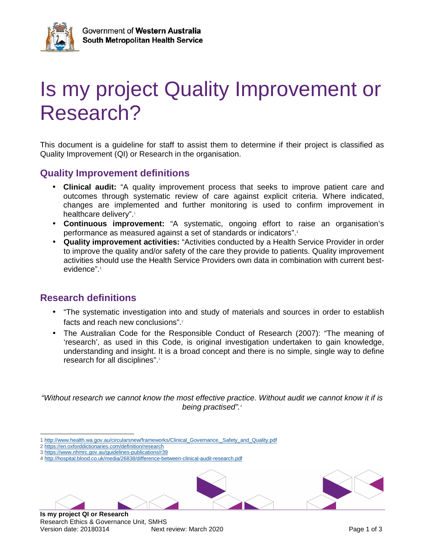

# Is my project Quality Improvement or Research?

This document is a guideline for staff to assist them to determine if their project is classified as Quality Improvement (QI) or Research in the organisation.

#### **Quality Improvement definitions**

- **Clinical audit:** "A quality improvement process that seeks to improve patient care and outcomes through systematic review of care against explicit criteria. Where indicated, changes are implemented and further monitoring is used to confirm improvement in healthcare delivery".<sup>1</sup>
- **Continuous improvement:** "A systematic, ongoing effort to raise an organisation's performance as measured against a set of standards or indicators".<sup>1</sup>
- **Quality improvement activities:** "Activities conducted by a Health Service Provider in order to improve the quality and/or safety of the care they provide to patients. Quality improvement activities should use the Health Service Providers own data in combination with current bestevidence".<sup>1</sup>

### **Research definitions**

- "The systematic investigation into and study of materials and sources in order to establish facts and reach new conclusions".<sup>2</sup>
- The Australian Code for the Responsible Conduct of Research (2007): "The meaning of 'research', as used in this Code, is original investigation undertaken to gain knowledge, understanding and insight. It is a broad concept and there is no simple, single way to define research for all disciplines".<sup>3</sup>

"Without research we cannot know the most effective practice. Without audit we cannot know it if is being practised".<sup>4</sup>

- $\overline{a}$ 1 http://www.health.wa.gov.au/circularsnew/frameworks/Clinical\_Governance,\_Safety\_and\_Quality.pdf
- 2 https://en.oxforddictionaries.com/definition/research
- 3 https://www.nhmrc.gov.au/guidelines-publications/r39
- 4 http://hospital.blood.co.uk/media/26838/difference-between-clinical-audit-research.pdf

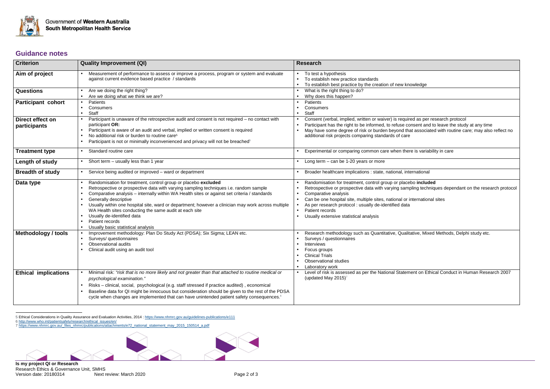

<sup>5</sup> Ethical Considerations in Quality Assurance and Evaluation Activities, 2014 : <u>https://www.nhmrc.gov.au/guidelines-publications/e111</u><br>6 <u>http://www.who.int/patientsafety/research/ethical\_issues/en/</u><br>7 <u>https://www.nhmrc.</u>



| ledge                                             |  |  |  |
|---------------------------------------------------|--|--|--|
|                                                   |  |  |  |
|                                                   |  |  |  |
|                                                   |  |  |  |
| as per research protocol                          |  |  |  |
| ent and to leave the study at any time            |  |  |  |
| associated with routine care; may also reflect no |  |  |  |
|                                                   |  |  |  |
| s variability in care                             |  |  |  |
|                                                   |  |  |  |
| ational                                           |  |  |  |
| included                                          |  |  |  |
| g techniques dependant on the research protocol   |  |  |  |
| ernational sites                                  |  |  |  |
|                                                   |  |  |  |
|                                                   |  |  |  |
|                                                   |  |  |  |
| ve, Mixed Methods, Delphi study etc.              |  |  |  |
|                                                   |  |  |  |
|                                                   |  |  |  |
|                                                   |  |  |  |
| t on Ethical Conduct in Human Research 2007       |  |  |  |
|                                                   |  |  |  |
|                                                   |  |  |  |
|                                                   |  |  |  |
|                                                   |  |  |  |

## **Guidance notes**

| <b>Criterion</b>                 | <b>Quality Improvement (QI)</b>                                                                                                                                                                                                                                                                                                                                                                                                                                                                                                         | <b>Research</b>                                                                                                                                                                                                                                                                                                                                                                                                |
|----------------------------------|-----------------------------------------------------------------------------------------------------------------------------------------------------------------------------------------------------------------------------------------------------------------------------------------------------------------------------------------------------------------------------------------------------------------------------------------------------------------------------------------------------------------------------------------|----------------------------------------------------------------------------------------------------------------------------------------------------------------------------------------------------------------------------------------------------------------------------------------------------------------------------------------------------------------------------------------------------------------|
| Aim of project                   | Measurement of performance to assess or improve a process, program or system and evaluate<br>against current evidence based practice / standards                                                                                                                                                                                                                                                                                                                                                                                        | To test a hypothesis<br>To establish new practice standards<br>To establish best practice by the creation of new knowledge                                                                                                                                                                                                                                                                                     |
| <b>Questions</b>                 | Are we doing the right thing?<br>Are we doing what we think we are?                                                                                                                                                                                                                                                                                                                                                                                                                                                                     | What is the right thing to do?<br>Why does this happen?                                                                                                                                                                                                                                                                                                                                                        |
| <b>Participant cohort</b>        | Patients<br>Consumers<br>$\bullet$<br>Staff<br>$\bullet$                                                                                                                                                                                                                                                                                                                                                                                                                                                                                | Patients<br>Consumers<br>Staff                                                                                                                                                                                                                                                                                                                                                                                 |
| Direct effect on<br>participants | Participant is unaware of the retrospective audit and consent is not required – no contact with<br>participant OR:<br>Participant is aware of an audit and verbal, implied or written consent is required<br>No additional risk or burden to routine care <sup>5</sup><br>Participant is not or minimally inconvenienced and privacy will not be breached <sup>5</sup>                                                                                                                                                                  | Consent (verbal, implied, written or waiver) is required as per research protocol<br>Participant has the right to be informed, to refuse consent and to leave the study at any time<br>May have some degree of risk or burden beyond that associated with routine care; may also reflect no<br>additional risk projects comparing standards of care                                                            |
| <b>Treatment type</b>            | Standard routine care<br>$\bullet$                                                                                                                                                                                                                                                                                                                                                                                                                                                                                                      | Experimental or comparing common care when there is variability in care                                                                                                                                                                                                                                                                                                                                        |
| Length of study                  | Short term - usually less than 1 year                                                                                                                                                                                                                                                                                                                                                                                                                                                                                                   | Long term $-$ can be 1-20 years or more                                                                                                                                                                                                                                                                                                                                                                        |
| <b>Breadth of study</b>          | Service being audited or improved - ward or department                                                                                                                                                                                                                                                                                                                                                                                                                                                                                  | Broader healthcare implications : state, national, international                                                                                                                                                                                                                                                                                                                                               |
| Data type                        | Randomisation for treatment, control group or placebo excluded<br>Retrospective or prospective data with varying sampling techniques i.e. random sample<br>Comparative analysis - internally within WA Health sites or against set criteria / standards<br>Generally descriptive<br>Usually within one hospital site, ward or department; however a clinician may work across multiple<br>WA Health sites conducting the same audit at each site<br>Usually de-identified data<br>Patient records<br>Usually basic statistical analysis | Randomisation for treatment, control group or placebo included<br>Retrospective or prospective data with varying sampling techniques dependant on the research protoco<br>Comparative analysis<br>Can be one hospital site, multiple sites, national or international sites<br>As per research protocol : usually de-identified data<br>Patient records<br>$\bullet$<br>Usually extensive statistical analysis |
| Methodology / tools              | Improvement methodology: Plan Do Study Act (PDSA); Six Sigma; LEAN etc.<br>$\bullet$<br>Surveys/ questionnaires<br>$\bullet$<br>Observational audits<br>Clinical audit using an audit tool                                                                                                                                                                                                                                                                                                                                              | Research methodology such as Quantitative, Qualitative, Mixed Methods, Delphi study etc.<br>Surveys / questionnaires<br>Interviews<br>Focus groups<br><b>Clinical Trials</b><br><b>Observational studies</b><br>Laboratory work                                                                                                                                                                                |
| <b>Ethical implications</b>      | Minimal risk: "risk that is no more likely and not greater than that attached to routine medical or<br>$\bullet$<br>psychological examination."<br>Risks - clinical, social, psychological (e.g. staff stressed if practice audited), economical<br>$\bullet$<br>Baseline data for QI might be innocuous but consideration should be given to the rest of the PDSA<br>cycle when changes are implemented that can have unintended patient safety consequences. <sup>6</sup>                                                             | Level of risk is assessed as per the National Statement on Ethical Conduct in Human Research 2007<br>(updated May 2015) <sup>7</sup>                                                                                                                                                                                                                                                                           |